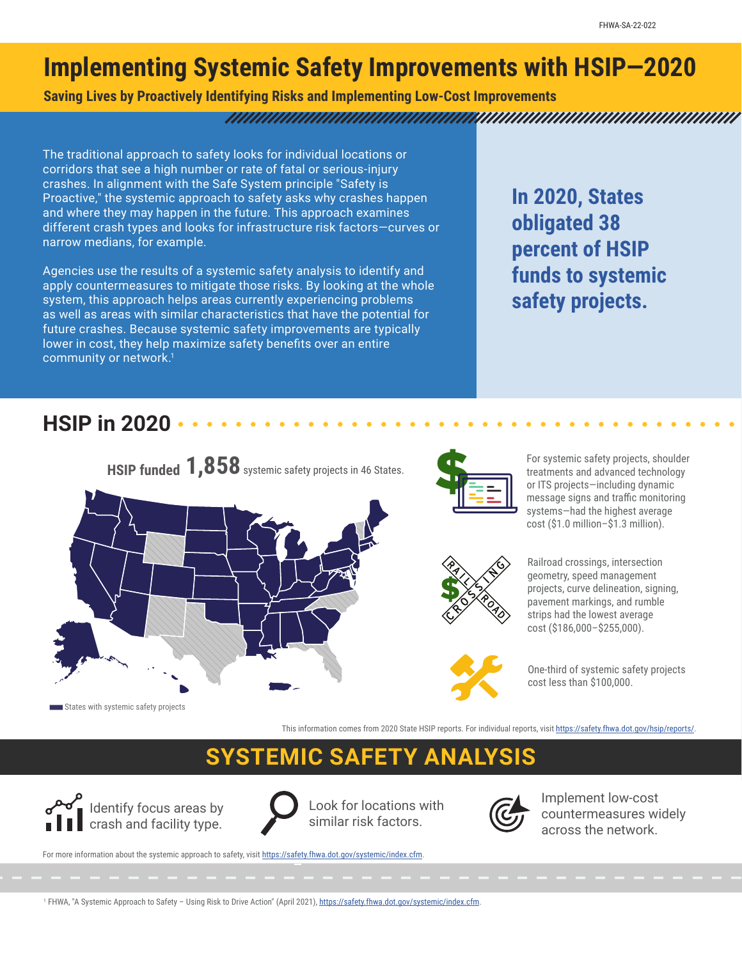## **Implementing Systemic Safety Improvements with HSIP—2020**

**Saving Lives by Proactively Identifying Risks and Implementing Low-Cost Improvements**

#### <u>TANIN ANIMIN ANIMIN ANIMIN ANIMIN ANIMIN ANIMIN ANIMIN ANIMIN ANIMIN ANIMIN ANIMIN ANIMIN ANIMIN ANIMIN ANIMIN</u>

The traditional approach to safety looks for individual locations or corridors that see a high number or rate of fatal or serious-injury crashes. In alignment with the Safe System principle "Safety is Proactive," the systemic approach to safety asks why crashes happen and where they may happen in the future. This approach examines different crash types and looks for infrastructure risk factors—curves or narrow medians, for example.

Agencies use the results of a systemic safety analysis to identify and apply countermeasures to mitigate those risks. By looking at the whole system, this approach helps areas currently experiencing problems as well as areas with similar characteristics that have the potential for future crashes. Because systemic safety improvements are typically lower in cost, they help maximize safety benefits over an entire community or network.<sup>1</sup>

**In 2020, States obligated 38 percent of HSIP funds to systemic safety projects.**

#### **HSIP in 2020**







For systemic safety projects, shoulder treatments and advanced technology or ITS projects—including dynamic message signs and traffic monitoring systems—had the highest average cost (\$1.0 million–\$1.3 million).



Railroad crossings, intersection geometry, speed management projects, curve delineation, signing, pavement markings, and rumble strips had the lowest average cost (\$186,000–\$255,000).

One-third of systemic safety projects cost less than \$100,000.

This information comes from 2020 State HSIP reports. For individual reports, visit [https://safety.fhwa.dot.gov/hsip/reports/.](https://safety.fhwa.dot.gov/hsip/reports/)

# **SYSTEMIC SAFETY ANALYSIS**



Look for locations with similar risk factors.



Implement low-cost countermeasures widely across the network.

For more information about the systemic approach to safety, visit https://safety.fhwa.dot.gov/systemic/index.cfm